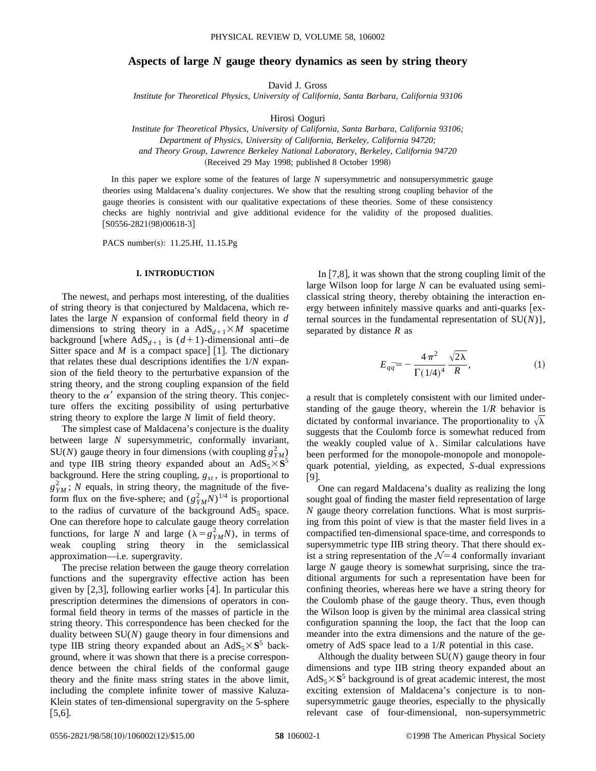# **Aspects of large** *N* **gauge theory dynamics as seen by string theory**

David J. Gross

*Institute for Theoretical Physics, University of California, Santa Barbara, California 93106*

Hirosi Ooguri

*Institute for Theoretical Physics, University of California, Santa Barbara, California 93106; Department of Physics, University of California, Berkeley, California 94720; and Theory Group, Lawrence Berkeley National Laboratory, Berkeley, California 94720* (Received 29 May 1998; published 8 October 1998)

In this paper we explore some of the features of large *N* supersymmetric and nonsupersymmetric gauge theories using Maldacena's duality conjectures. We show that the resulting strong coupling behavior of the gauge theories is consistent with our qualitative expectations of these theories. Some of these consistency checks are highly nontrivial and give additional evidence for the validity of the proposed dualities.  $[$ S0556-2821(98)00618-3]

PACS number(s):  $11.25.Hf$ ,  $11.15.Pg$ 

### **I. INTRODUCTION**

The newest, and perhaps most interesting, of the dualities of string theory is that conjectured by Maldacena, which relates the large *N* expansion of conformal field theory in *d* dimensions to string theory in a  $AdS_{d+1} \times M$  spacetime background [where  $AdS_{d+1}$  is  $(d+1)$ -dimensional anti-de Sitter space and *M* is a compact space  $\lfloor 1 \rfloor$ . The dictionary that relates these dual descriptions identifies the 1/*N* expansion of the field theory to the perturbative expansion of the string theory, and the strong coupling expansion of the field theory to the  $\alpha'$  expansion of the string theory. This conjecture offers the exciting possibility of using perturbative string theory to explore the large *N* limit of field theory.

The simplest case of Maldacena's conjecture is the duality between large *N* supersymmetric, conformally invariant, SU(*N*) gauge theory in four dimensions (with coupling  $g_{YM}^2$ ) and type IIB string theory expanded about an  $AdS_5 \times S^5$ background. Here the string coupling,  $g_{st}$ , is proportional to  $g_{YM}^2$ ; *N* equals, in string theory, the magnitude of the fiveform flux on the five-sphere; and  $(g_{YM}^2 N)^{1/4}$  is proportional to the radius of curvature of the background  $AdS_5$  space. One can therefore hope to calculate gauge theory correlation functions, for large *N* and large  $(\lambda = g_{YM}^2 N)$ , in terms of weak coupling string theory in the semiclassical approximation—i.e. supergravity.

The precise relation between the gauge theory correlation functions and the supergravity effective action has been given by  $[2,3]$ , following earlier works  $[4]$ . In particular this prescription determines the dimensions of operators in conformal field theory in terms of the masses of particle in the string theory. This correspondence has been checked for the duality between SU(*N*) gauge theory in four dimensions and type IIB string theory expanded about an  $AdS_5 \times S^5$  background, where it was shown that there is a precise correspondence between the chiral fields of the conformal gauge theory and the finite mass string states in the above limit, including the complete infinite tower of massive Kaluza-Klein states of ten-dimensional supergravity on the 5-sphere  $|5,6|$ .

In  $[7,8]$ , it was shown that the strong coupling limit of the large Wilson loop for large *N* can be evaluated using semiclassical string theory, thereby obtaining the interaction energy between infinitely massive quarks and anti-quarks  $\epsilon$ ternal sources in the fundamental representation of SU(*N*)], separated by distance *R* as

$$
E_{q\bar{q}} = -\frac{4\pi^2}{\Gamma(1/4)^4} \frac{\sqrt{2\lambda}}{R},
$$
 (1)

a result that is completely consistent with our limited understanding of the gauge theory, wherein the 1/*R* behavior is dictated by conformal invariance. The proportionality to  $\sqrt{\lambda}$ suggests that the Coulomb force is somewhat reduced from the weakly coupled value of  $\lambda$ . Similar calculations have been performed for the monopole-monopole and monopolequark potential, yielding, as expected, *S*-dual expressions  $[9]$ .

One can regard Maldacena's duality as realizing the long sought goal of finding the master field representation of large *N* gauge theory correlation functions. What is most surprising from this point of view is that the master field lives in a compactified ten-dimensional space-time, and corresponds to supersymmetric type IIB string theory. That there should exist a string representation of the  $N=4$  conformally invariant large *N* gauge theory is somewhat surprising, since the traditional arguments for such a representation have been for confining theories, whereas here we have a string theory for the Coulomb phase of the gauge theory. Thus, even though the Wilson loop is given by the minimal area classical string configuration spanning the loop, the fact that the loop can meander into the extra dimensions and the nature of the geometry of AdS space lead to a 1/*R* potential in this case.

Although the duality between SU(*N*) gauge theory in four dimensions and type IIB string theory expanded about an  $AdS_5 \times S^5$  background is of great academic interest, the most exciting extension of Maldacena's conjecture is to nonsupersymmetric gauge theories, especially to the physically relevant case of four-dimensional, non-supersymmetric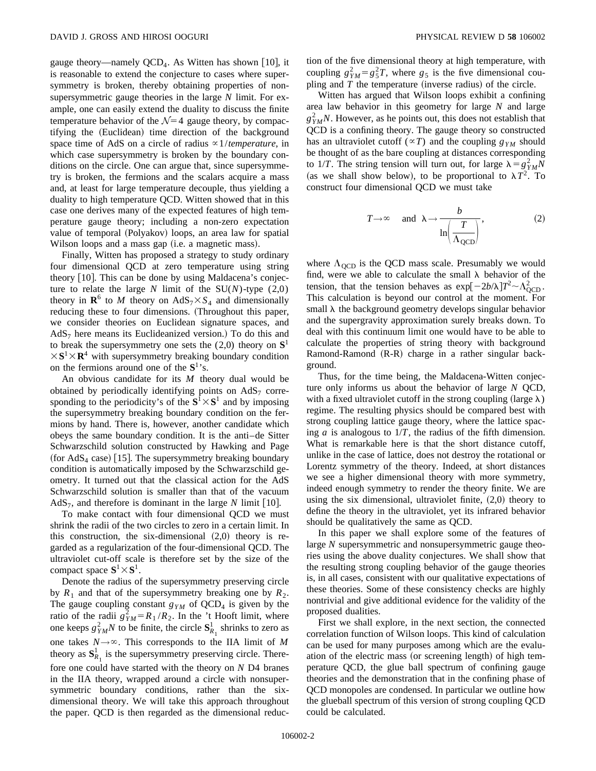gauge theory—namely  $QCD<sub>4</sub>$ . As Witten has shown [10], it is reasonable to extend the conjecture to cases where supersymmetry is broken, thereby obtaining properties of nonsupersymmetric gauge theories in the large *N* limit. For example, one can easily extend the duality to discuss the finite temperature behavior of the  $\mathcal{N}=4$  gauge theory, by compactifying the (Euclidean) time direction of the background space time of AdS on a circle of radius  $\alpha$ 1/*temperature*, in which case supersymmetry is broken by the boundary conditions on the circle. One can argue that, since supersymmetry is broken, the fermions and the scalars acquire a mass and, at least for large temperature decouple, thus yielding a duality to high temperature QCD. Witten showed that in this case one derives many of the expected features of high temperature gauge theory; including a non-zero expectation value of temporal (Polyakov) loops, an area law for spatial Wilson loops and a mass gap (i.e. a magnetic mass).

Finally, Witten has proposed a strategy to study ordinary four dimensional QCD at zero temperature using string theory  $[10]$ . This can be done by using Maldacena's conjecture to relate the large  $N$  limit of the  $SU(N)$ -type  $(2,0)$ theory in  $\mathbb{R}^6$  to *M* theory on  $AdS_7 \times S_4$  and dimensionally reducing these to four dimensions. (Throughout this paper, we consider theories on Euclidean signature spaces, and  $AdS<sub>7</sub>$  here means its Euclideanized version.) To do this and to break the supersymmetry one sets the (2,0) theory on **S**<sup>1</sup>  $\times$ **S**<sup>1</sup> $\times$ **R**<sup>4</sup> with supersymmetry breaking boundary condition on the fermions around one of the **S**1's.

An obvious candidate for its *M* theory dual would be obtained by periodically identifying points on  $AdS<sub>7</sub>$  corresponding to the periodicity's of the  $S^1 \times S^1$  and by imposing the supersymmetry breaking boundary condition on the fermions by hand. There is, however, another candidate which obeys the same boundary condition. It is the anti–de Sitter Schwarzschild solution constructed by Hawking and Page (for  $AdS<sub>4</sub>$  case) [15]. The supersymmetry breaking boundary condition is automatically imposed by the Schwarzschild geometry. It turned out that the classical action for the AdS Schwarzschild solution is smaller than that of the vacuum  $AdS_7$ , and therefore is dominant in the large N limit [10].

To make contact with four dimensional QCD we must shrink the radii of the two circles to zero in a certain limit. In this construction, the six-dimensional  $(2,0)$  theory is regarded as a regularization of the four-dimensional QCD. The ultraviolet cut-off scale is therefore set by the size of the compact space  $S^1 \times S^1$ .

Denote the radius of the supersymmetry preserving circle by  $R_1$  and that of the supersymmetry breaking one by  $R_2$ . The gauge coupling constant  $g_{YM}$  of  $QCD_4$  is given by the ratio of the radii  $g_{YM}^2 = R_1 / R_2$ . In the 't Hooft limit, where one keeps  $g_{YM}^2 N$  to be finite, the circle  $S_{R_1}^1$  shrinks to zero as one takes  $N \rightarrow \infty$ . This corresponds to the IIA limit of *M* theory as  $S^1_{R_1}$  is the supersymmetry preserving circle. Therefore one could have started with the theory on *N* D4 branes in the IIA theory, wrapped around a circle with nonsupersymmetric boundary conditions, rather than the sixdimensional theory. We will take this approach throughout the paper. QCD is then regarded as the dimensional reduction of the five dimensional theory at high temperature, with coupling  $g_{YM}^2 = g_5^2 T$ , where  $g_5$  is the five dimensional coupling and  $T$  the temperature (inverse radius) of the circle.

Witten has argued that Wilson loops exhibit a confining area law behavior in this geometry for large *N* and large  $g_{YM}^2 N$ . However, as he points out, this does not establish that QCD is a confining theory. The gauge theory so constructed has an ultraviolet cutoff ( ${}^{\alpha}T$ ) and the coupling  $g_{YM}$  should be thought of as the bare coupling at distances corresponding to 1/*T*. The string tension will turn out, for large  $\lambda = g_{YM}^2 N$ (as we shall show below), to be proportional to  $\lambda T^2$ . To construct four dimensional QCD we must take

$$
T \to \infty
$$
 and  $\lambda \to \frac{b}{\ln(\frac{T}{\Lambda_{\text{QCD}}})}$ , (2)

where  $\Lambda_{\text{QCD}}$  is the QCD mass scale. Presumably we would find, were we able to calculate the small  $\lambda$  behavior of the tension, that the tension behaves as  $\exp[-2b/\lambda]T^2 \sim \Lambda_{\text{QCD}}^2$ . This calculation is beyond our control at the moment. For small  $\lambda$  the background geometry develops singular behavior and the supergravity approximation surely breaks down. To deal with this continuum limit one would have to be able to calculate the properties of string theory with background Ramond-Ramond  $(R-R)$  charge in a rather singular background.

Thus, for the time being, the Maldacena-Witten conjecture only informs us about the behavior of large *N* QCD, with a fixed ultraviolet cutoff in the strong coupling (large  $\lambda$ ) regime. The resulting physics should be compared best with strong coupling lattice gauge theory, where the lattice spacing  $a$  is analogous to  $1/T$ , the radius of the fifth dimension. What is remarkable here is that the short distance cutoff, unlike in the case of lattice, does not destroy the rotational or Lorentz symmetry of the theory. Indeed, at short distances we see a higher dimensional theory with more symmetry, indeed enough symmetry to render the theory finite. We are using the six dimensional, ultraviolet finite,  $(2,0)$  theory to define the theory in the ultraviolet, yet its infrared behavior should be qualitatively the same as QCD.

In this paper we shall explore some of the features of large *N* supersymmetric and nonsupersymmetric gauge theories using the above duality conjectures. We shall show that the resulting strong coupling behavior of the gauge theories is, in all cases, consistent with our qualitative expectations of these theories. Some of these consistency checks are highly nontrivial and give additional evidence for the validity of the proposed dualities.

First we shall explore, in the next section, the connected correlation function of Wilson loops. This kind of calculation can be used for many purposes among which are the evaluation of the electric mass (or screening length) of high temperature QCD, the glue ball spectrum of confining gauge theories and the demonstration that in the confining phase of QCD monopoles are condensed. In particular we outline how the glueball spectrum of this version of strong coupling QCD could be calculated.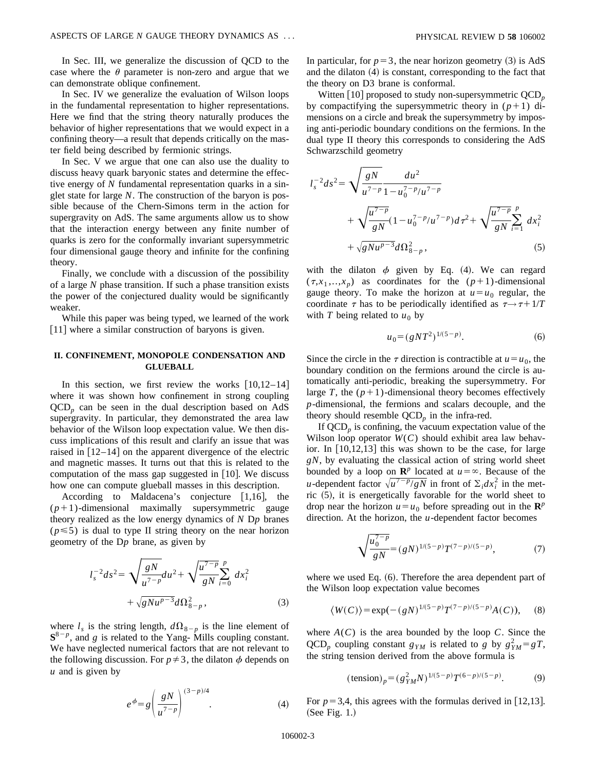In Sec. III, we generalize the discussion of QCD to the case where the  $\theta$  parameter is non-zero and argue that we can demonstrate oblique confinement.

In Sec. IV we generalize the evaluation of Wilson loops in the fundamental representation to higher representations. Here we find that the string theory naturally produces the behavior of higher representations that we would expect in a confining theory—a result that depends critically on the master field being described by fermionic strings.

In Sec. V we argue that one can also use the duality to discuss heavy quark baryonic states and determine the effective energy of *N* fundamental representation quarks in a singlet state for large *N*. The construction of the baryon is possible because of the Chern-Simons term in the action for supergravity on AdS. The same arguments allow us to show that the interaction energy between any finite number of quarks is zero for the conformally invariant supersymmetric four dimensional gauge theory and infinite for the confining theory.

Finally, we conclude with a discussion of the possibility of a large *N* phase transition. If such a phase transition exists the power of the conjectured duality would be significantly weaker.

While this paper was being typed, we learned of the work  $[11]$  where a similar construction of baryons is given.

# **II. CONFINEMENT, MONOPOLE CONDENSATION AND GLUEBALL**

In this section, we first review the works  $[10,12-14]$ where it was shown how confinement in strong coupling  $QCD<sub>p</sub>$  can be seen in the dual description based on AdS supergravity. In particular, they demonstrated the area law behavior of the Wilson loop expectation value. We then discuss implications of this result and clarify an issue that was raised in  $[12-14]$  on the apparent divergence of the electric and magnetic masses. It turns out that this is related to the computation of the mass gap suggested in  $[10]$ . We discuss how one can compute glueball masses in this description.

According to Maldacena's conjecture  $[1,16]$ , the  $(p+1)$ -dimensional maximally supersymmetric gauge theory realized as the low energy dynamics of *N* D*p* branes  $(p \le 5)$  is dual to type II string theory on the near horizon geometry of the D*p* brane, as given by

$$
l_s^{-2}ds^2 = \sqrt{\frac{gN}{u^{7-p}}}du^2 + \sqrt{\frac{u^{7-p}}{gN}}\sum_{i=0}^p dx_i^2 + \sqrt{gNu^{p-3}}d\Omega_{8-p}^2,
$$
 (3)

where  $l_s$  is the string length,  $d\Omega_{8-p}$  is the line element of  $S^{8-p}$ , and *g* is related to the Yang- Mills coupling constant. We have neglected numerical factors that are not relevant to the following discussion. For  $p \neq 3$ , the dilaton  $\phi$  depends on *u* and is given by

$$
e^{\phi} = g \left( \frac{gN}{u^{7-p}} \right)^{(3-p)/4}.
$$
 (4)

In particular, for  $p=3$ , the near horizon geometry (3) is AdS and the dilaton  $(4)$  is constant, corresponding to the fact that the theory on D3 brane is conformal.

Witten  $[10]$  proposed to study non-supersymmetric  $QCD_p$ by compactifying the supersymmetric theory in  $(p+1)$  dimensions on a circle and break the supersymmetry by imposing anti-periodic boundary conditions on the fermions. In the dual type II theory this corresponds to considering the AdS Schwarzschild geometry

$$
l_s^{-2}ds^2 = \sqrt{\frac{gN}{u^{7-p}}}\frac{du^2}{1 - u_0^{7-p}/u^{7-p}} + \sqrt{\frac{u^{7-p}}{gN}}(1 - u_0^{7-p}/u^{7-p})d\tau^2 + \sqrt{\frac{u^{7-p}}{gN}}\sum_{i=1}^p dx_i^2 + \sqrt{gNu^{p-3}}d\Omega_{8-p}^2, \qquad (5)
$$

with the dilaton  $\phi$  given by Eq. (4). We can regard  $(\tau, x_1, \ldots, x_n)$  as coordinates for the  $(p+1)$ -dimensional gauge theory. To make the horizon at  $u = u_0$  regular, the coordinate  $\tau$  has to be periodically identified as  $\tau \rightarrow \tau + 1/T$ with *T* being related to  $u_0$  by

$$
u_0 = (gNT^2)^{1/(5-p)}.\t(6)
$$

Since the circle in the  $\tau$  direction is contractible at  $u = u_0$ , the boundary condition on the fermions around the circle is automatically anti-periodic, breaking the supersymmetry. For large *T*, the  $(p+1)$ -dimensional theory becomes effectively *p*-dimensional, the fermions and scalars decouple, and the theory should resemble  $\text{QCD}_p$  in the infra-red.

If  $QCD_p$  is confining, the vacuum expectation value of the Wilson loop operator  $W(C)$  should exhibit area law behavior. In  $[10,12,13]$  this was shown to be the case, for large *gN*, by evaluating the classical action of string world sheet bounded by a loop on  $\mathbb{R}^p$  located at  $u = \infty$ . Because of the *u*-dependent factor  $\sqrt{u^{7-p}/gN}$  in front of  $\Sigma_i dx_i^2$  in the metric  $(5)$ , it is energetically favorable for the world sheet to drop near the horizon  $u = u_0$  before spreading out in the  $\mathbf{R}^p$ direction. At the horizon, the *u*-dependent factor becomes

$$
\sqrt{\frac{u_0^{7-p}}{gN}} = (gN)^{1/(5-p)}T^{(7-p)/(5-p)},\tag{7}
$$

where we used Eq.  $(6)$ . Therefore the area dependent part of the Wilson loop expectation value becomes

$$
\langle W(C) \rangle = \exp(-(gN)^{1/(5-p)}T^{(7-p)/(5-p)}A(C)), \quad (8)
$$

where  $A(C)$  is the area bounded by the loop  $C$ . Since the QCD<sub>*p*</sub> coupling constant  $g_{YM}$  is related to *g* by  $g_{YM}^2 = gT$ , the string tension derived from the above formula is

$$
(\text{tension})_p = (g_{YM}^2 N)^{1/(5-p)} T^{(6-p)/(5-p)}.
$$
 (9)

For  $p=3,4$ , this agrees with the formulas derived in [12,13].  $(See Fig. 1.)$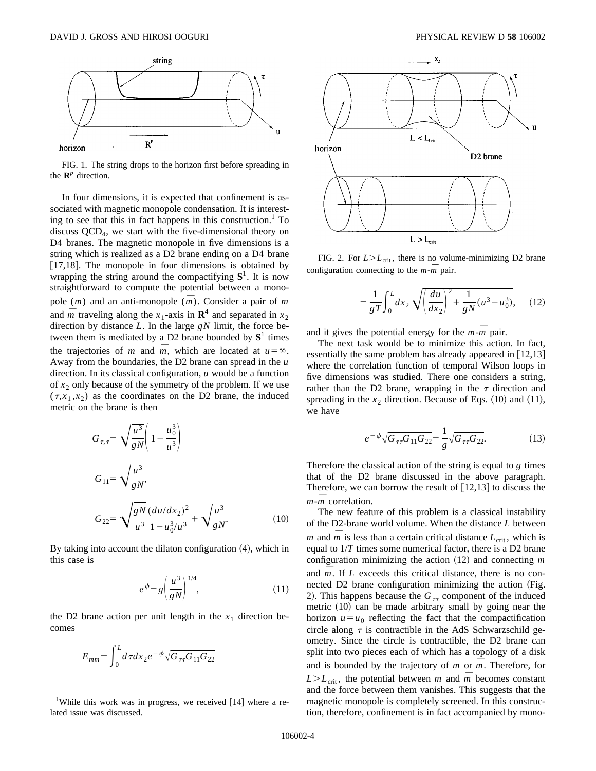

FIG. 1. The string drops to the horizon first before spreading in the  $\mathbf{R}^p$  direction.

In four dimensions, it is expected that confinement is associated with magnetic monopole condensation. It is interesting to see that this in fact happens in this construction. $<sup>1</sup>$  To</sup> discuss  $QCD<sub>4</sub>$ , we start with the five-dimensional theory on D4 branes. The magnetic monopole in five dimensions is a string which is realized as a D2 brane ending on a D4 brane  $[17,18]$ . The monopole in four dimensions is obtained by wrapping the string around the compactifying  $S<sup>1</sup>$ . It is now straightforward to compute the potential between a monopole  $(m)$  and an anti-monopole  $(\overline{m})$ . Consider a pair of *m* and  $\overline{m}$  traveling along the *x*<sub>1</sub>-axis in  $\mathbb{R}^4$  and separated in *x*<sub>2</sub> direction by distance *L*. In the large *gN* limit, the force between them is mediated by a D2 brane bounded by  $S^1$  times the trajectories of *m* and  $\overline{m}$ , which are located at  $u = \infty$ . Away from the boundaries, the D2 brane can spread in the *u* direction. In its classical configuration, *u* would be a function of  $x_2$  only because of the symmetry of the problem. If we use  $(\tau, x_1, x_2)$  as the coordinates on the D2 brane, the induced metric on the brane is then

$$
G_{\tau,\tau} = \sqrt{\frac{u^3}{gN}} \left( 1 - \frac{u_0^3}{u^3} \right)
$$
  
\n
$$
G_{11} = \sqrt{\frac{u^3}{gN}},
$$
  
\n
$$
G_{22} = \sqrt{\frac{gN}{u^3} \frac{(du/dx_2)^2}{1 - u_0^3/u^3}} + \sqrt{\frac{u^3}{gN}}.
$$
\n(10)

By taking into account the dilaton configuration  $(4)$ , which in this case is

$$
e^{\phi} = g \left(\frac{u^3}{gN}\right)^{1/4},\tag{11}
$$

the D2 brane action per unit length in the  $x_1$  direction becomes

$$
E_{m\bar{m}} = \int_0^L d\tau dx_2 e^{-\phi} \sqrt{G_{\tau\tau} G_{11} G_{22}}
$$



FIG. 2. For  $L > L_{\text{crit}}$ , there is no volume-minimizing D2 brane configuration connecting to the  $m - m$  pair.

$$
=\frac{1}{gT}\int_0^L dx_2 \sqrt{\left(\frac{du}{dx_2}\right)^2 + \frac{1}{gN}(u^3 - u_0^3)},\quad (12)
$$

and it gives the potential energy for the  $m - m$  pair.

The next task would be to minimize this action. In fact, essentially the same problem has already appeared in  $[12,13]$ where the correlation function of temporal Wilson loops in five dimensions was studied. There one considers a string, rather than the D2 brane, wrapping in the  $\tau$  direction and spreading in the  $x_2$  direction. Because of Eqs.  $(10)$  and  $(11)$ , we have

$$
e^{-\phi}\sqrt{G_{\tau\tau}G_{11}G_{22}} = \frac{1}{g}\sqrt{G_{\tau\tau}G_{22}}.
$$
 (13)

Therefore the classical action of the string is equal to *g* times that of the D2 brane discussed in the above paragraph. Therefore, we can borrow the result of  $[12,13]$  to discuss the  $m - m$  correlation.

The new feature of this problem is a classical instability of the D2-brane world volume. When the distance *L* between *m* and *m* is less than a certain critical distance  $L_{\text{crit}}$ , which is equal to 1/*T* times some numerical factor, there is a D2 brane configuration minimizing the action  $(12)$  and connecting *m* and  $\overline{m}$ . If *L* exceeds this critical distance, there is no connected D2 brane configuration minimizing the action (Fig. 2). This happens because the  $G<sub>\tau\tau</sub>$  component of the induced metric  $(10)$  can be made arbitrary small by going near the horizon  $u = u_0$  reflecting the fact that the compactification circle along  $\tau$  is contractible in the AdS Schwarzschild geometry. Since the circle is contractible, the D2 brane can split into two pieces each of which has a topology of a disk and is bounded by the trajectory of  $m$  or  $\overline{m}$ . Therefore, for  $L>L<sub>crit</sub>$ , the potential between *m* and  $\overline{m}$  becomes constant and the force between them vanishes. This suggests that the magnetic monopole is completely screened. In this construction, therefore, confinement is in fact accompanied by mono-

<sup>&</sup>lt;sup>1</sup>While this work was in progress, we received  $[14]$  where a related issue was discussed.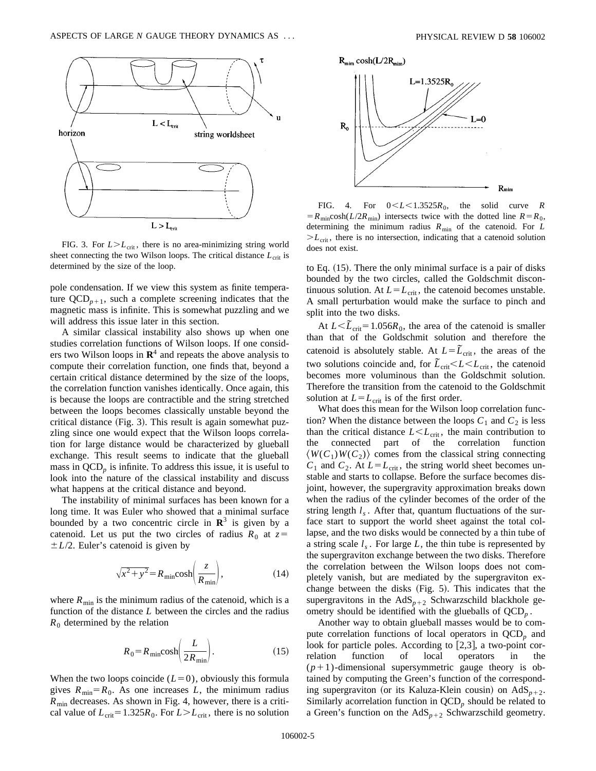

FIG. 3. For  $L > L_{\text{crit}}$ , there is no area-minimizing string world sheet connecting the two Wilson loops. The critical distance  $L_{\text{crit}}$  is determined by the size of the loop.

pole condensation. If we view this system as finite temperature  $QCD_{p+1}$ , such a complete screening indicates that the magnetic mass is infinite. This is somewhat puzzling and we will address this issue later in this section.

A similar classical instability also shows up when one studies correlation functions of Wilson loops. If one considers two Wilson loops in  $\mathbb{R}^4$  and repeats the above analysis to compute their correlation function, one finds that, beyond a certain critical distance determined by the size of the loops, the correlation function vanishes identically. Once again, this is because the loops are contractible and the string stretched between the loops becomes classically unstable beyond the critical distance  $(Fig. 3)$ . This result is again somewhat puzzling since one would expect that the Wilson loops correlation for large distance would be characterized by glueball exchange. This result seems to indicate that the glueball mass in  $\text{QCD}_p$  is infinite. To address this issue, it is useful to look into the nature of the classical instability and discuss what happens at the critical distance and beyond.

The instability of minimal surfaces has been known for a long time. It was Euler who showed that a minimal surface bounded by a two concentric circle in  $\mathbb{R}^3$  is given by a catenoid. Let us put the two circles of radius  $R_0$  at  $z=$  $\pm L/2$ . Euler's catenoid is given by

$$
\sqrt{x^2 + y^2} = R_{\min}\cosh\left(\frac{z}{R_{\min}}\right),\tag{14}
$$

where  $R_{\text{min}}$  is the minimum radius of the catenoid, which is a function of the distance *L* between the circles and the radius  $R_0$  determined by the relation

$$
R_0 = R_{\min}\cosh\left(\frac{L}{2R_{\min}}\right). \tag{15}
$$

When the two loops coincide  $(L=0)$ , obviously this formula gives  $R_{\text{min}} = R_0$ . As one increases *L*, the minimum radius  $R_{\text{min}}$  decreases. As shown in Fig. 4, however, there is a critical value of  $L_{\text{crit}} = 1.325R_0$ . For  $L > L_{\text{crit}}$ , there is no solution



FIG. 4. For  $0 \le L \le 1.3525R_0$ , the solid curve *R*  $=R_{\text{min}} \cosh(L/2R_{\text{min}})$  intersects twice with the dotted line  $R=R_0$ , determining the minimum radius *R*min of the catenoid. For *L*  $>L_{\text{crit}}$ , there is no intersection, indicating that a catenoid solution does not exist.

to Eq.  $(15)$ . There the only minimal surface is a pair of disks bounded by the two circles, called the Goldschmit discontinuous solution. At  $L = L_{\text{crit}}$ , the catenoid becomes unstable. A small perturbation would make the surface to pinch and split into the two disks.

At  $L < \tilde{L}_{\text{crit}} = 1.056R_0$ , the area of the catenoid is smaller than that of the Goldschmit solution and therefore the catenoid is absolutely stable. At  $L = \tilde{L}_{crit}$ , the areas of the two solutions coincide and, for  $\overline{\tilde{L}}_{crit} < L < L_{crit}$ , the catenoid becomes more voluminous than the Goldschmit solution. Therefore the transition from the catenoid to the Goldschmit solution at  $L = L_{\text{crit}}$  is of the first order.

What does this mean for the Wilson loop correlation function? When the distance between the loops  $C_1$  and  $C_2$  is less than the critical distance  $L < L_{\text{crit}}$ , the main contribution to the connected part of the correlation function  $\langle W(C_1)W(C_2)\rangle$  comes from the classical string connecting  $C_1$  and  $C_2$ . At  $L = L_{\text{crit}}$ , the string world sheet becomes unstable and starts to collapse. Before the surface becomes disjoint, however, the supergravity approximation breaks down when the radius of the cylinder becomes of the order of the string length  $l_s$ . After that, quantum fluctuations of the surface start to support the world sheet against the total collapse, and the two disks would be connected by a thin tube of a string scale  $l<sub>s</sub>$ . For large  $L$ , the thin tube is represented by the supergraviton exchange between the two disks. Therefore the correlation between the Wilson loops does not completely vanish, but are mediated by the supergraviton exchange between the disks  $(Fig. 5)$ . This indicates that the supergravitons in the  $AdS_{p+2}$  Schwarzschild blackhole geometry should be identified with the glueballs of QCD*<sup>p</sup>* .

Another way to obtain glueball masses would be to compute correlation functions of local operators in QCD<sub>p</sub> and look for particle poles. According to  $[2,3]$ , a two-point correlation function of local operators in the  $(p+1)$ -dimensional supersymmetric gauge theory is obtained by computing the Green's function of the corresponding supergraviton (or its Kaluza-Klein cousin) on  $AdS_{p+2}$ . Similarly acorrelation function in  $\text{QCD}_p$  should be related to a Green's function on the  $AdS_{p+2}$  Schwarzschild geometry.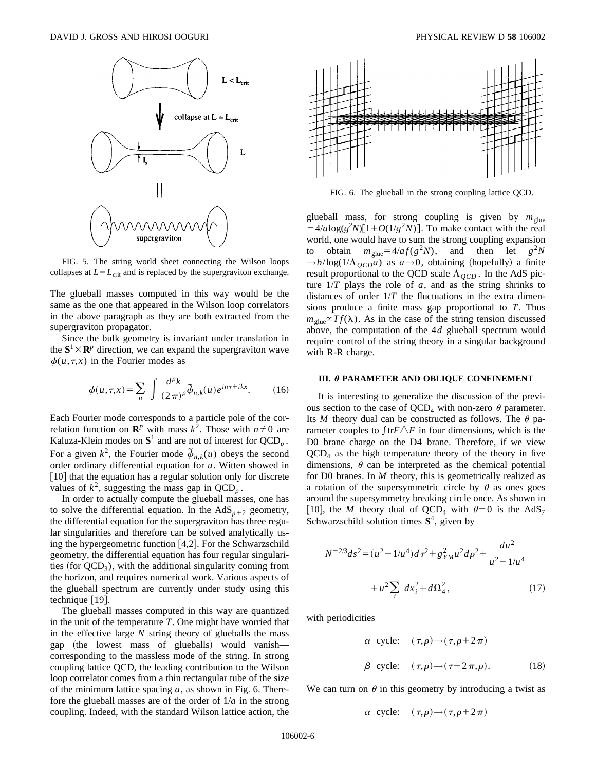

FIG. 5. The string world sheet connecting the Wilson loops collapses at  $L = L_{\text{crit}}$  and is replaced by the supergraviton exchange.

The glueball masses computed in this way would be the same as the one that appeared in the Wilson loop correlators in the above paragraph as they are both extracted from the supergraviton propagator.

Since the bulk geometry is invariant under translation in the  $S^1 \times \mathbb{R}^p$  direction, we can expand the supergraviton wave  $\phi(u,\tau,x)$  in the Fourier modes as

$$
\phi(u,\tau,x) = \sum_{n} \int \frac{d^p k}{(2\pi)^p} \widetilde{\phi}_{n,k}(u) e^{in\tau + ikx}.
$$
 (16)

Each Fourier mode corresponds to a particle pole of the correlation function on  $\mathbb{R}^p$  with mass  $k^2$ . Those with  $n \neq 0$  are Kaluza-Klein modes on  $S^1$  and are not of interest for  $QCD_p$ . For a given  $k^2$ , the Fourier mode  $\bar{\phi}_{n,k}(u)$  obeys the second order ordinary differential equation for *u*. Witten showed in [10] that the equation has a regular solution only for discrete values of  $k^2$ , suggesting the mass gap in  $QCD_n$ .

In order to actually compute the glueball masses, one has to solve the differential equation. In the  $AdS_{p+2}$  geometry, the differential equation for the supergraviton has three regular singularities and therefore can be solved analytically using the hypergeometric function  $[4,2]$ . For the Schwarzschild geometry, the differential equation has four regular singularities (for  $QCD<sub>3</sub>$ ), with the additional singularity coming from the horizon, and requires numerical work. Various aspects of the glueball spectrum are currently under study using this technique  $[19]$ .

The glueball masses computed in this way are quantized in the unit of the temperature *T*. One might have worried that in the effective large *N* string theory of glueballs the mass gap (the lowest mass of glueballs) would vanish corresponding to the massless mode of the string. In strong coupling lattice QCD, the leading contribution to the Wilson loop correlator comes from a thin rectangular tube of the size of the minimum lattice spacing *a*, as shown in Fig. 6. Therefore the glueball masses are of the order of 1/*a* in the strong coupling. Indeed, with the standard Wilson lattice action, the



FIG. 6. The glueball in the strong coupling lattice QCD.

glueball mass, for strong coupling is given by  $m_{glue}$  $=4/a \log(g^2 N)[1+O(1/g^2 N)]$ . To make contact with the real world, one would have to sum the strong coupling expansion to obtain  $m_{\text{glue}} = 4/a f(g^2 N)$ , and then let  $g^2 N$  $\rightarrow b/\log(1/\Lambda_{\text{OCD}}a)$  as  $a\rightarrow 0$ , obtaining (hopefully) a finite result proportional to the QCD scale  $\Lambda_{QCD}$ . In the AdS picture  $1/T$  plays the role of *a*, and as the string shrinks to distances of order 1/*T* the fluctuations in the extra dimensions produce a finite mass gap proportional to *T*. Thus  $m_{\text{glue}} \propto Tf(\lambda)$ . As in the case of the string tension discussed above, the computation of the 4*d* glueball spectrum would require control of the string theory in a singular background with R-R charge.

#### **III.**  $\theta$  **PARAMETER AND OBLIQUE CONFINEMENT**

It is interesting to generalize the discussion of the previous section to the case of  $\overline{QCD}_4$  with non-zero  $\theta$  parameter. Its *M* theory dual can be constructed as follows. The  $\theta$  parameter couples to  $\int$ tr $F \wedge F$  in four dimensions, which is the D0 brane charge on the D4 brane. Therefore, if we view  $QCD<sub>4</sub>$  as the high temperature theory of the theory in five dimensions,  $\theta$  can be interpreted as the chemical potential for D0 branes. In *M* theory, this is geometrically realized as a rotation of the supersymmetric circle by  $\theta$  as ones goes around the supersymmetry breaking circle once. As shown in [10], the *M* theory dual of QCD<sub>4</sub> with  $\theta=0$  is the AdS<sub>7</sub> Schwarzschild solution times **S**4, given by

$$
N^{-2/3}ds^{2} = (u^{2} - 1/u^{4})d\tau^{2} + g_{YM}^{2}u^{2}d\rho^{2} + \frac{du^{2}}{u^{2} - 1/u^{4}}
$$

$$
+ u^{2}\sum_{i} dx_{i}^{2} + d\Omega_{4}^{2}, \qquad (17)
$$

with periodicities

$$
\alpha \text{ cycle:} \quad (\tau, \rho) \to (\tau, \rho + 2\pi)
$$
  

$$
\beta \text{ cycle:} \quad (\tau, \rho) \to (\tau + 2\pi, \rho). \tag{18}
$$

We can turn on  $\theta$  in this geometry by introducing a twist as

$$
\alpha \ \ \text{cycle:} \ \ (\tau,\rho) \rightarrow (\tau,\rho+2\pi)
$$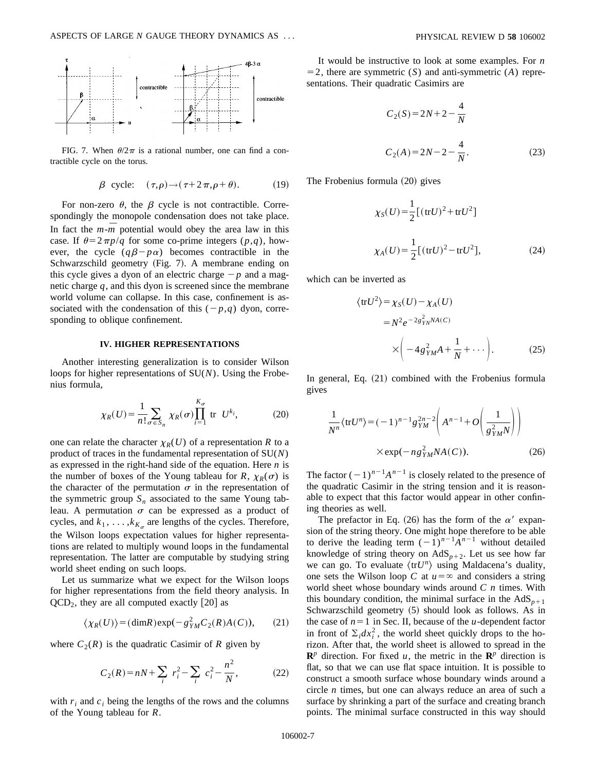

FIG. 7. When  $\theta/2\pi$  is a rational number, one can find a contractible cycle on the torus.

$$
\beta \text{ cycle: } (\tau, \rho) \to (\tau + 2\pi, \rho + \theta). \tag{19}
$$

For non-zero  $\theta$ , the  $\beta$  cycle is not contractible. Correspondingly the monopole condensation does not take place. In fact the  $m - m$  potential would obey the area law in this case. If  $\theta = 2\pi p/q$  for some co-prime integers  $(p,q)$ , however, the cycle  $(q\beta - p\alpha)$  becomes contractible in the Schwarzschild geometry (Fig. 7). A membrane ending on this cycle gives a dyon of an electric charge  $-p$  and a magnetic charge *q*, and this dyon is screened since the membrane world volume can collapse. In this case, confinement is associated with the condensation of this  $(-p,q)$  dyon, corresponding to oblique confinement.

### **IV. HIGHER REPRESENTATIONS**

Another interesting generalization is to consider Wilson loops for higher representations of SU(*N*). Using the Frobenius formula,

$$
\chi_R(U) = \frac{1}{n!} \sum_{\sigma \in S_n} \chi_R(\sigma) \prod_{i=1}^{K_{\sigma}} \text{ tr } U^{k_i}, \tag{20}
$$

one can relate the character  $\chi_R(U)$  of a representation *R* to a product of traces in the fundamental representation of SU(*N*) as expressed in the right-hand side of the equation. Here *n* is the number of boxes of the Young tableau for *R*,  $\chi_R(\sigma)$  is the character of the permutation  $\sigma$  in the representation of the symmetric group  $S_n$  associated to the same Young tableau. A permutation  $\sigma$  can be expressed as a product of cycles, and  $k_1, \ldots, k_{K_{\alpha}}$  are lengths of the cycles. Therefore, the Wilson loops expectation values for higher representations are related to multiply wound loops in the fundamental representation. The latter are computable by studying string world sheet ending on such loops.

Let us summarize what we expect for the Wilson loops for higher representations from the field theory analysis. In  $QCD<sub>2</sub>$ , they are all computed exactly  $\lfloor 20 \rfloor$  as

$$
\langle \chi_R(U) \rangle = (\dim R) \exp(-g_{YM}^2 C_2(R) A(C)), \qquad (21)
$$

where  $C_2(R)$  is the quadratic Casimir of R given by

$$
C_2(R) = nN + \sum_i r_i^2 - \sum_i c_i^2 - \frac{n^2}{N},
$$
 (22)

with  $r_i$  and  $c_i$  being the lengths of the rows and the columns of the Young tableau for *R*.

It would be instructive to look at some examples. For *n*  $=$  2, there are symmetric  $(S)$  and anti-symmetric  $(A)$  representations. Their quadratic Casimirs are

$$
C_2(S) = 2N + 2 - \frac{4}{N}
$$
  
\n
$$
C_2(A) = 2N - 2 - \frac{4}{N}.
$$
\n(23)

The Frobenius formula  $(20)$  gives

$$
\chi_S(U) = \frac{1}{2} [(trU)^2 + trU^2]
$$
  

$$
\chi_A(U) = \frac{1}{2} [(trU)^2 - trU^2],
$$
 (24)

which can be inverted as

$$
\langle trU^2 \rangle = \chi_S(U) - \chi_A(U)
$$
  
=  $N^2 e^{-2g_{YM}^2 N A(C)}$   

$$
\times \left( -4g_{YM}^2 A + \frac{1}{N} + \cdots \right).
$$
 (25)

In general, Eq.  $(21)$  combined with the Frobenius formula gives

$$
\frac{1}{N^n} \langle \text{tr} U^n \rangle = (-1)^{n-1} g_{YM}^{2n-2} \left( A^{n-1} + O\left( \frac{1}{g_{YM}^2 N} \right) \right)
$$
  
× exp $(-ng_{YM}^2 N A(C)).$  (26)

The factor  $(-1)^{n-1}A^{n-1}$  is closely related to the presence of the quadratic Casimir in the string tension and it is reasonable to expect that this factor would appear in other confining theories as well.

The prefactor in Eq. (26) has the form of the  $\alpha'$  expansion of the string theory. One might hope therefore to be able to derive the leading term  $(-1)^{n-1}A^{n-1}$  without detailed knowledge of string theory on  $AdS_{p+2}$ . Let us see how far we can go. To evaluate  $\langle trU^n \rangle$  using Maldacena's duality, one sets the Wilson loop *C* at  $u = \infty$  and considers a string world sheet whose boundary winds around *C n* times. With this boundary condition, the minimal surface in the  $AdS_{p+1}$ Schwarzschild geometry  $(5)$  should look as follows. As in the case of  $n=1$  in Sec. II, because of the *u*-dependent factor in front of  $\Sigma_i dx_i^2$ , the world sheet quickly drops to the horizon. After that, the world sheet is allowed to spread in the  $\mathbb{R}^p$  direction. For fixed *u*, the metric in the  $\mathbb{R}^p$  direction is flat, so that we can use flat space intuition. It is possible to construct a smooth surface whose boundary winds around a circle *n* times, but one can always reduce an area of such a surface by shrinking a part of the surface and creating branch points. The minimal surface constructed in this way should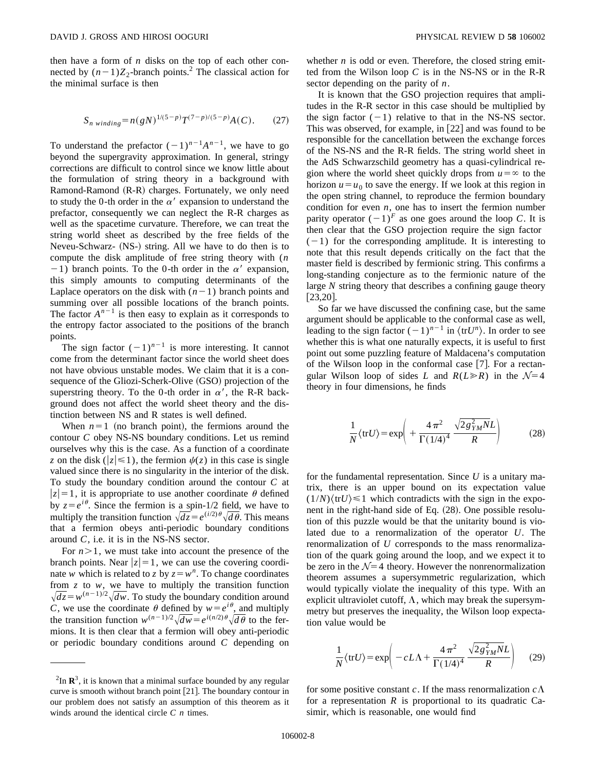then have a form of *n* disks on the top of each other connected by  $(n-1)Z_2$ -branch points.<sup>2</sup> The classical action for the minimal surface is then

$$
S_{n\;winding} = n(gN)^{1/(5-p)}T^{(7-p)/(5-p)}A(C). \tag{27}
$$

To understand the prefactor  $(-1)^{n-1}A^{n-1}$ , we have to go beyond the supergravity approximation. In general, stringy corrections are difficult to control since we know little about the formulation of string theory in a background with Ramond-Ramond  $(R-R)$  charges. Fortunately, we only need to study the 0-th order in the  $\alpha'$  expansion to understand the prefactor, consequently we can neglect the R-R charges as well as the spacetime curvature. Therefore, we can treat the string world sheet as described by the free fields of the Neveu-Schwarz- (NS-) string. All we have to do then is to compute the disk amplitude of free string theory with (*n* -1) branch points. To the 0-th order in the  $\alpha'$  expansion, this simply amounts to computing determinants of the Laplace operators on the disk with  $(n-1)$  branch points and summing over all possible locations of the branch points. The factor  $A^{n-1}$  is then easy to explain as it corresponds to the entropy factor associated to the positions of the branch points.

The sign factor  $(-1)^{n-1}$  is more interesting. It cannot come from the determinant factor since the world sheet does not have obvious unstable modes. We claim that it is a consequence of the Gliozi-Scherk-Olive (GSO) projection of the superstring theory. To the 0-th order in  $\alpha'$ , the R-R background does not affect the world sheet theory and the distinction between NS and R states is well defined.

When  $n=1$  (no branch point), the fermions around the contour *C* obey NS-NS boundary conditions. Let us remind ourselves why this is the case. As a function of a coordinate *z* on the disk ( $|z| \le 1$ ), the fermion  $\psi(z)$  in this case is single valued since there is no singularity in the interior of the disk. To study the boundary condition around the contour *C* at  $|z|=1$ , it is appropriate to use another coordinate  $\theta$  defined by  $z = e^{i\theta}$ . Since the fermion is a spin-1/2 field, we have to multiply the transition function  $\sqrt{dz} = e^{(i/2)\theta} \sqrt{d\theta}$ . This means that a fermion obeys anti-periodic boundary conditions around *C*, i.e. it is in the NS-NS sector.

For  $n > 1$ , we must take into account the presence of the branch points. Near  $|z|=1$ , we can use the covering coordinate *w* which is related to *z* by  $z = w^n$ . To change coordinates from  $z$  to  $w$ , we have to multiply the transition function  $\sqrt{dz} = w^{(n-1)/2} \sqrt{dw}$ . To study the boundary condition around *C*, we use the coordinate  $\theta$  defined by  $w = e^{i\theta}$ , and multiply the transition function  $w^{(n-1)/2}\sqrt{dw} = e^{i(n/2)\theta}\sqrt{d\theta}$  to the fermions. It is then clear that a fermion will obey anti-periodic or periodic boundary conditions around *C* depending on whether *n* is odd or even. Therefore, the closed string emitted from the Wilson loop *C* is in the NS-NS or in the R-R sector depending on the parity of *n*.

It is known that the GSO projection requires that amplitudes in the R-R sector in this case should be multiplied by the sign factor  $(-1)$  relative to that in the NS-NS sector. This was observed, for example, in  $[22]$  and was found to be responsible for the cancellation between the exchange forces of the NS-NS and the R-R fields. The string world sheet in the AdS Schwarzschild geometry has a quasi-cylindrical region where the world sheet quickly drops from  $u = \infty$  to the horizon  $u = u_0$  to save the energy. If we look at this region in the open string channel, to reproduce the fermion boundary condition for even  $n$ , one has to insert the fermion number parity operator  $(-1)^F$  as one goes around the loop *C*. It is then clear that the GSO projection require the sign factor  $(-1)$  for the corresponding amplitude. It is interesting to note that this result depends critically on the fact that the master field is described by fermionic string. This confirms a long-standing conjecture as to the fermionic nature of the large *N* string theory that describes a confining gauge theory  $[23,20]$ .

So far we have discussed the confining case, but the same argument should be applicable to the conformal case as well, leading to the sign factor  $(-1)^{n-1}$  in  $\langle \text{tr} U^n \rangle$ . In order to see whether this is what one naturally expects, it is useful to first point out some puzzling feature of Maldacena's computation of the Wilson loop in the conformal case  $[7]$ . For a rectangular Wilson loop of sides *L* and  $R(L \ge R)$  in the  $N=4$ theory in four dimensions, he finds

$$
\frac{1}{N} \langle \text{tr} U \rangle = \exp \left( + \frac{4 \pi^2}{\Gamma(1/4)^4} \frac{\sqrt{2 g_{YM}^2 N} L}{R} \right) \tag{28}
$$

for the fundamental representation. Since *U* is a unitary matrix, there is an upper bound on its expectation value  $(1/N)\langle trU \rangle \le 1$  which contradicts with the sign in the exponent in the right-hand side of Eq. (28). One possible resolution of this puzzle would be that the unitarity bound is violated due to a renormalization of the operator *U*. The renormalization of *U* corresponds to the mass renormalization of the quark going around the loop, and we expect it to be zero in the  $\mathcal{N}=4$  theory. However the nonrenormalization theorem assumes a supersymmetric regularization, which would typically violate the inequality of this type. With an explicit ultraviolet cutoff,  $\Lambda$ , which may break the supersymmetry but preserves the inequality, the Wilson loop expectation value would be

$$
\frac{1}{N} \langle \text{tr} U \rangle = \exp \left( -cL\Lambda + \frac{4\pi^2}{\Gamma(1/4)^4} \frac{\sqrt{2g_{YM}^2 N}L}{R} \right) \tag{29}
$$

for some positive constant *c*. If the mass renormalization  $c\Lambda$ for a representation  $R$  is proportional to its quadratic Casimir, which is reasonable, one would find

 ${}^{2}$ In  $\mathbb{R}^{3}$ , it is known that a minimal surface bounded by any regular curve is smooth without branch point [21]. The boundary contour in our problem does not satisfy an assumption of this theorem as it winds around the identical circle *C n* times.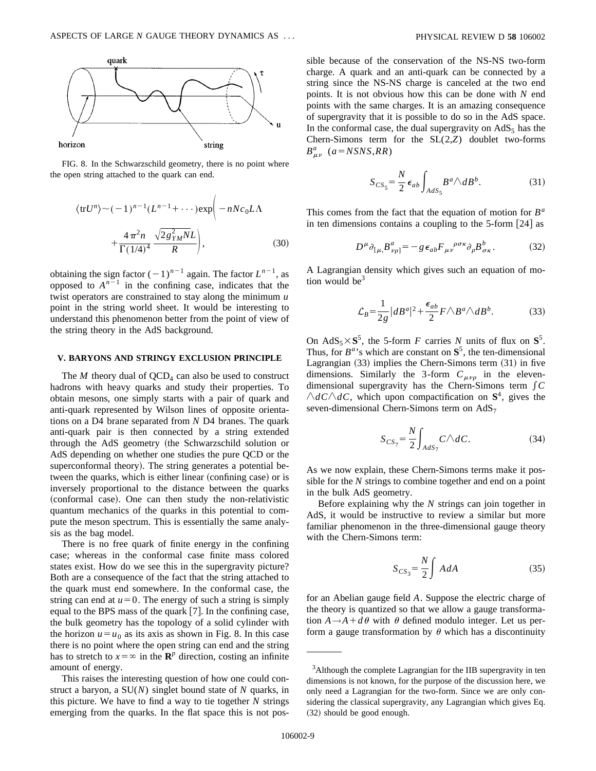

FIG. 8. In the Schwarzschild geometry, there is no point where the open string attached to the quark can end.

$$
\langle \text{tr} U^n \rangle \sim (-1)^{n-1} (L^{n-1} + \cdots) \exp \Biggl( -nN c_0 L \Lambda + \frac{4 \pi^2 n}{\Gamma (1/4)^4} \frac{\sqrt{2 g_{YM}^2 N L}}{R} \Biggr), \tag{30}
$$

obtaining the sign factor  $(-1)^{n-1}$  again. The factor  $L^{n-1}$ , as opposed to  $A^{n-1}$  in the confining case, indicates that the twist operators are constrained to stay along the minimum *u* point in the string world sheet. It would be interesting to understand this phenomenon better from the point of view of the string theory in the AdS background.

### **V. BARYONS AND STRINGY EXCLUSION PRINCIPLE**

The  $M$  theory dual of  $\text{QCD}_4$  can also be used to construct hadrons with heavy quarks and study their properties. To obtain mesons, one simply starts with a pair of quark and anti-quark represented by Wilson lines of opposite orientations on a D4 brane separated from *N* D4 branes. The quark anti-quark pair is then connected by a string extended through the AdS geometry (the Schwarzschild solution or AdS depending on whether one studies the pure QCD or the superconformal theory). The string generates a potential between the quarks, which is either linear (confining case) or is inversely proportional to the distance between the quarks (conformal case). One can then study the non-relativistic quantum mechanics of the quarks in this potential to compute the meson spectrum. This is essentially the same analysis as the bag model.

There is no free quark of finite energy in the confining case; whereas in the conformal case finite mass colored states exist. How do we see this in the supergravity picture? Both are a consequence of the fact that the string attached to the quark must end somewhere. In the conformal case, the string can end at  $u=0$ . The energy of such a string is simply equal to the BPS mass of the quark  $[7]$ . In the confining case, the bulk geometry has the topology of a solid cylinder with the horizon  $u = u_0$  as its axis as shown in Fig. 8. In this case there is no point where the open string can end and the string has to stretch to  $x = \infty$  in the **R**<sup>*p*</sup> direction, costing an infinite amount of energy.

This raises the interesting question of how one could construct a baryon, a SU(*N*) singlet bound state of *N* quarks, in this picture. We have to find a way to tie together *N* strings emerging from the quarks. In the flat space this is not possible because of the conservation of the NS-NS two-form charge. A quark and an anti-quark can be connected by a string since the NS-NS charge is canceled at the two end points. It is not obvious how this can be done with *N* end points with the same charges. It is an amazing consequence of supergravity that it is possible to do so in the AdS space. In the conformal case, the dual supergravity on  $AdS_5$  has the Chern-Simons term for the SL(2,*Z*) doublet two-forms  $B^a_{\mu\nu}$  (*a*=*NSNS*,*RR*)

$$
S_{CS_5} = \frac{N}{2} \epsilon_{ab} \int_{AdS_5} B^a \wedge dB^b. \tag{31}
$$

This comes from the fact that the equation of motion for *B<sup>a</sup>* in ten dimensions contains a coupling to the  $5$ -form  $[24]$  as

$$
D^{\mu}\partial_{[\mu,}B^{a}_{\nu\rho]} = -g\,\epsilon_{ab}F_{\mu\nu}^{\ \rho\sigma\kappa}\partial_{\rho}B^{b}_{\sigma\kappa}.\tag{32}
$$

A Lagrangian density which gives such an equation of motion would be $3$ 

$$
\mathcal{L}_B = \frac{1}{2g} |dB^a|^2 + \frac{\epsilon_{ab}}{2} F \wedge B^a \wedge dB^b. \tag{33}
$$

On  $AdS_5 \times S^5$ , the 5-form *F* carries *N* units of flux on  $S^5$ . Thus, for  $B^a$ 's which are constant on  $S^5$ , the ten-dimensional Lagrangian  $(33)$  implies the Chern-Simons term  $(31)$  in five dimensions. Similarly the 3-form  $C_{\mu\nu\rho}$  in the elevendimensional supergravity has the Chern-Simons term  $\int C$  $\wedge dC \wedge dC$ , which upon compactification on  $S^4$ , gives the seven-dimensional Chern-Simons term on AdS<sub>7</sub>

$$
S_{CS_7} = \frac{N}{2} \int_{AdS_7} C \wedge dC.
$$
 (34)

As we now explain, these Chern-Simons terms make it possible for the *N* strings to combine together and end on a point in the bulk AdS geometry.

Before explaining why the *N* strings can join together in AdS, it would be instructive to review a similar but more familiar phenomenon in the three-dimensional gauge theory with the Chern-Simons term:

$$
S_{CS_3} = \frac{N}{2} \int A \, dA \tag{35}
$$

for an Abelian gauge field *A*. Suppose the electric charge of the theory is quantized so that we allow a gauge transformation  $A \rightarrow A + d\theta$  with  $\theta$  defined modulo integer. Let us perform a gauge transformation by  $\theta$  which has a discontinuity

<sup>&</sup>lt;sup>3</sup>Although the complete Lagrangian for the IIB supergravity in ten dimensions is not known, for the purpose of the discussion here, we only need a Lagrangian for the two-form. Since we are only considering the classical supergravity, any Lagrangian which gives Eq. (32) should be good enough.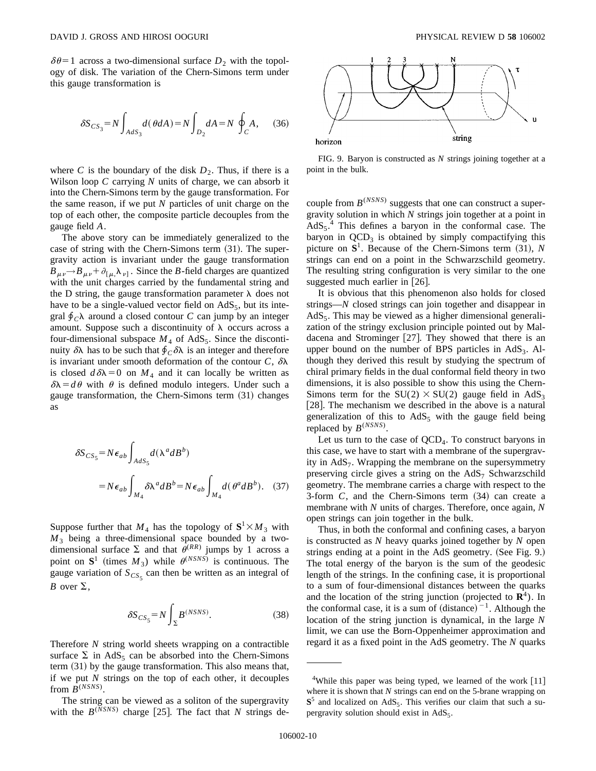$\delta\theta$ =1 across a two-dimensional surface  $D_2$  with the topology of disk. The variation of the Chern-Simons term under this gauge transformation is

$$
\delta S_{CS_3} = N \int_{AdS_3} d(\theta dA) = N \int_{D_2} dA = N \oint_C A, \quad (36)
$$

where *C* is the boundary of the disk  $D_2$ . Thus, if there is a Wilson loop *C* carrying *N* units of charge, we can absorb it into the Chern-Simons term by the gauge transformation. For the same reason, if we put *N* particles of unit charge on the top of each other, the composite particle decouples from the gauge field *A*.

The above story can be immediately generalized to the case of string with the Chern-Simons term  $(31)$ . The supergravity action is invariant under the gauge transformation  $B_{\mu\nu} \rightarrow B_{\mu\nu} + \partial_{[\mu,\lambda_{\nu]}]}$ . Since the *B*-field charges are quantized with the unit charges carried by the fundamental string and the D string, the gauge transformation parameter  $\lambda$  does not have to be a single-valued vector field on  $AdS_5$ , but its integral  $\oint_C \lambda$  around a closed contour *C* can jump by an integer amount. Suppose such a discontinuity of  $\lambda$  occurs across a four-dimensional subspace  $M_4$  of AdS<sub>5</sub>. Since the discontinuity  $\delta \lambda$  has to be such that  $\oint_C \delta \lambda$  is an integer and therefore is invariant under smooth deformation of the contour  $C$ ,  $\delta \lambda$ is closed  $d\delta\lambda = 0$  on  $M_4$  and it can locally be written as  $\delta\lambda = d\theta$  with  $\theta$  is defined modulo integers. Under such a gauge transformation, the Chern-Simons term  $(31)$  changes as

$$
\delta S_{CS_5} = N \epsilon_{ab} \int_{AdS_5} d(\lambda^a dB^b)
$$
  
=  $N \epsilon_{ab} \int_{M_4} \delta \lambda^a dB^b = N \epsilon_{ab} \int_{M_4} d(\theta^a dB^b)$ . (37)

Suppose further that  $M_4$  has the topology of  $S^1 \times M_3$  with *M*<sup>3</sup> being a three-dimensional space bounded by a twodimensional surface  $\Sigma$  and that  $\theta^{(RR)}$  jumps by 1 across a point on  $S^1$  (times  $M_3$ ) while  $\theta^{(NSNS)}$  is continuous. The gauge variation of  $S_{CS<sub>5</sub>}$  can then be written as an integral of *B* over  $\Sigma$ ,

$$
\delta S_{CS_5} = N \int_{\Sigma} B^{(NSNS)}.\tag{38}
$$

Therefore *N* string world sheets wrapping on a contractible surface  $\Sigma$  in AdS<sub>5</sub> can be absorbed into the Chern-Simons term  $(31)$  by the gauge transformation. This also means that, if we put *N* strings on the top of each other, it decouples from  $B^{(NSNS)}$ .

The string can be viewed as a soliton of the supergravity with the  $B^{(NSNS)}$  charge [25]. The fact that *N* strings de-



FIG. 9. Baryon is constructed as *N* strings joining together at a point in the bulk.

couple from  $B^{(NSNS)}$  suggests that one can construct a supergravity solution in which *N* strings join together at a point in  $AdS_5$ <sup>4</sup>. This defines a baryon in the conformal case. The baryon in  $QCD<sub>3</sub>$  is obtained by simply compactifying this picture on  $S^1$ . Because of the Chern-Simons term  $(31)$ , *N* strings can end on a point in the Schwarzschild geometry. The resulting string configuration is very similar to the one suggested much earlier in  $[26]$ .

It is obvious that this phenomenon also holds for closed strings—*N* closed strings can join together and disappear in  $AdS<sub>5</sub>$ . This may be viewed as a higher dimensional generalization of the stringy exclusion principle pointed out by Maldacena and Strominger  $[27]$ . They showed that there is an upper bound on the number of BPS particles in  $AdS_3$ . Although they derived this result by studying the spectrum of chiral primary fields in the dual conformal field theory in two dimensions, it is also possible to show this using the Chern-Simons term for the  $SU(2) \times SU(2)$  gauge field in AdS<sub>3</sub> [ $28$ ]. The mechanism we described in the above is a natural generalization of this to  $AdS_5$  with the gauge field being replaced by *B*(*NSNS*) .

Let us turn to the case of  $QCD<sub>4</sub>$ . To construct baryons in this case, we have to start with a membrane of the supergravity in  $AdS<sub>7</sub>$ . Wrapping the membrane on the supersymmetry preserving circle gives a string on the  $AdS<sub>7</sub>$  Schwarzschild geometry. The membrane carries a charge with respect to the 3-form  $C$ , and the Chern-Simons term  $(34)$  can create a membrane with *N* units of charges. Therefore, once again, *N* open strings can join together in the bulk.

Thus, in both the conformal and confining cases, a baryon is constructed as *N* heavy quarks joined together by *N* open strings ending at a point in the AdS geometry. (See Fig. 9.) The total energy of the baryon is the sum of the geodesic length of the strings. In the confining case, it is proportional to a sum of four-dimensional distances between the quarks and the location of the string junction (projected to  $\mathbb{R}^4$ ). In the conformal case, it is a sum of  $(distance)^{-1}$ . Although the location of the string junction is dynamical, in the large *N* limit, we can use the Born-Oppenheimer approximation and regard it as a fixed point in the AdS geometry. The *N* quarks

<sup>&</sup>lt;sup>4</sup>While this paper was being typed, we learned of the work  $[11]$ where it is shown that *N* strings can end on the 5-brane wrapping on  $S<sup>5</sup>$  and localized on AdS<sub>5</sub>. This verifies our claim that such a supergravity solution should exist in  $AdS_5$ .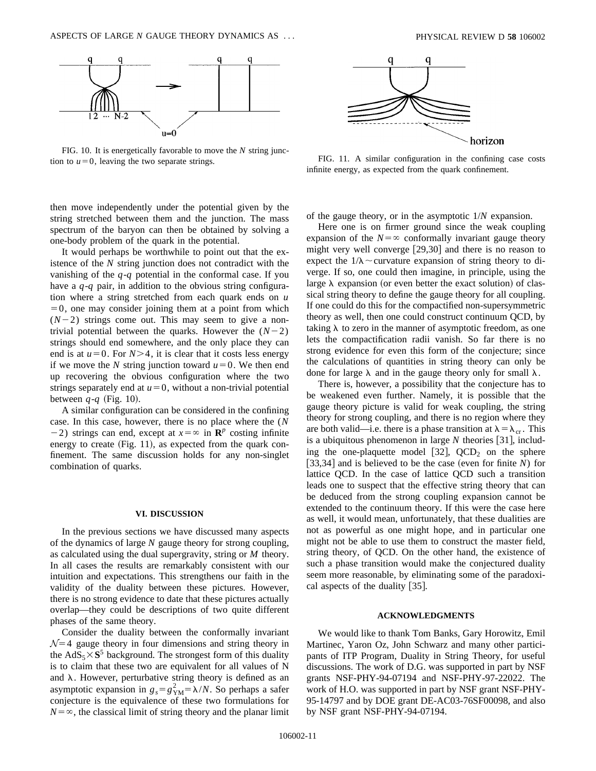

FIG. 10. It is energetically favorable to move the *N* string junction to  $u=0$ , leaving the two separate strings.

then move independently under the potential given by the string stretched between them and the junction. The mass spectrum of the baryon can then be obtained by solving a one-body problem of the quark in the potential.

It would perhaps be worthwhile to point out that the existence of the *N* string junction does not contradict with the vanishing of the *q*-*q* potential in the conformal case. If you have a *q*-*q* pair, in addition to the obvious string configuration where a string stretched from each quark ends on *u*  $=0$ , one may consider joining them at a point from which  $(N-2)$  strings come out. This may seem to give a nontrivial potential between the quarks. However the  $(N-2)$ strings should end somewhere, and the only place they can end is at  $u=0$ . For  $N>4$ , it is clear that it costs less energy if we move the *N* string junction toward  $u=0$ . We then end up recovering the obvious configuration where the two strings separately end at  $u=0$ , without a non-trivial potential between  $q - q$  (Fig. 10).

A similar configuration can be considered in the confining case. In this case, however, there is no place where the (*N*  $-2$ ) strings can end, except at  $x = \infty$  in **R**<sup>*p*</sup> costing infinite energy to create  $(Fig. 11)$ , as expected from the quark confinement. The same discussion holds for any non-singlet combination of quarks.

#### **VI. DISCUSSION**

In the previous sections we have discussed many aspects of the dynamics of large *N* gauge theory for strong coupling, as calculated using the dual supergravity, string or *M* theory. In all cases the results are remarkably consistent with our intuition and expectations. This strengthens our faith in the validity of the duality between these pictures. However, there is no strong evidence to date that these pictures actually overlap—they could be descriptions of two quite different phases of the same theory.

Consider the duality between the conformally invariant  $N=4$  gauge theory in four dimensions and string theory in the  $AdS_5 \times S^5$  background. The strongest form of this duality is to claim that these two are equivalent for all values of N and  $\lambda$ . However, perturbative string theory is defined as an asymptotic expansion in  $g_s = g_{YM}^2 = \lambda/N$ . So perhaps a safer conjecture is the equivalence of these two formulations for  $N = \infty$ , the classical limit of string theory and the planar limit



FIG. 11. A similar configuration in the confining case costs infinite energy, as expected from the quark confinement.

of the gauge theory, or in the asymptotic 1/*N* expansion.

Here one is on firmer ground since the weak coupling expansion of the  $N=\infty$  conformally invariant gauge theory might very well converge  $[29,30]$  and there is no reason to expect the  $1/\lambda \sim$  curvature expansion of string theory to diverge. If so, one could then imagine, in principle, using the large  $\lambda$  expansion (or even better the exact solution) of classical string theory to define the gauge theory for all coupling. If one could do this for the compactified non-supersymmetric theory as well, then one could construct continuum QCD, by taking  $\lambda$  to zero in the manner of asymptotic freedom, as one lets the compactification radii vanish. So far there is no strong evidence for even this form of the conjecture; since the calculations of quantities in string theory can only be done for large  $\lambda$  and in the gauge theory only for small  $\lambda$ .

There is, however, a possibility that the conjecture has to be weakened even further. Namely, it is possible that the gauge theory picture is valid for weak coupling, the string theory for strong coupling, and there is no region where they are both valid—i.e. there is a phase transition at  $\lambda = \lambda_{cr}$ . This is a ubiquitous phenomenon in large  $N$  theories [31], including the one-plaquette model  $[32]$ , QCD<sub>2</sub> on the sphere  $[33,34]$  and is believed to be the case (even for finite *N*) for lattice QCD. In the case of lattice QCD such a transition leads one to suspect that the effective string theory that can be deduced from the strong coupling expansion cannot be extended to the continuum theory. If this were the case here as well, it would mean, unfortunately, that these dualities are not as powerful as one might hope, and in particular one might not be able to use them to construct the master field, string theory, of QCD. On the other hand, the existence of such a phase transition would make the conjectured duality seem more reasonable, by eliminating some of the paradoxical aspects of the duality  $[35]$ .

### **ACKNOWLEDGMENTS**

We would like to thank Tom Banks, Gary Horowitz, Emil Martinec, Yaron Oz, John Schwarz and many other participants of ITP Program, Duality in String Theory, for useful discussions. The work of D.G. was supported in part by NSF grants NSF-PHY-94-07194 and NSF-PHY-97-22022. The work of H.O. was supported in part by NSF grant NSF-PHY-95-14797 and by DOE grant DE-AC03-76SF00098, and also by NSF grant NSF-PHY-94-07194.